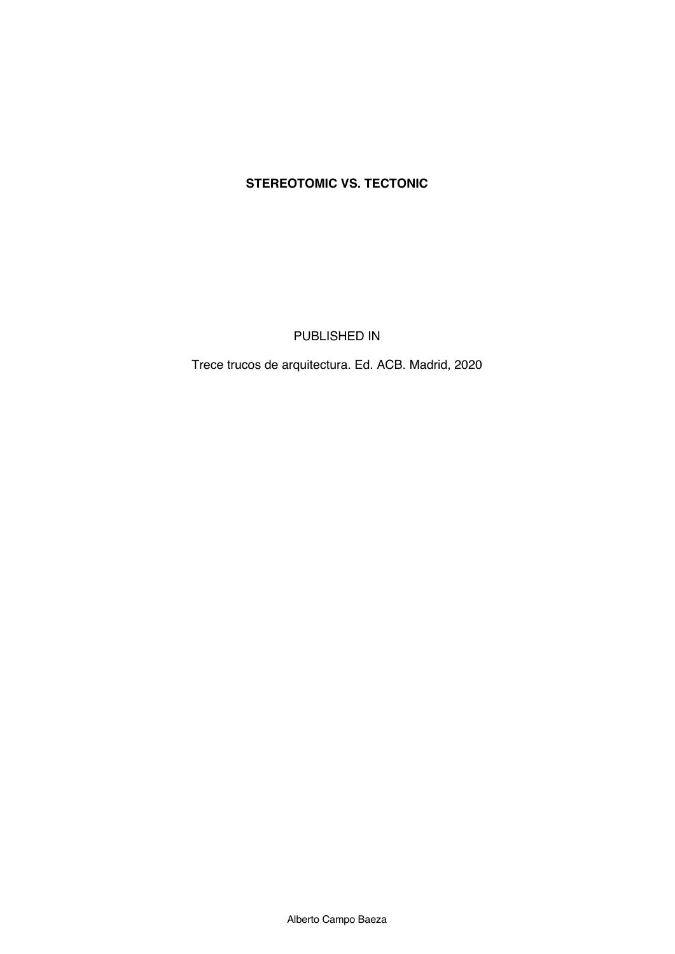# **STEREOTOMIC VS. TECTONIC**

PUBLISHED IN

Trece trucos de arquitectura. Ed. ACB. Madrid, 2020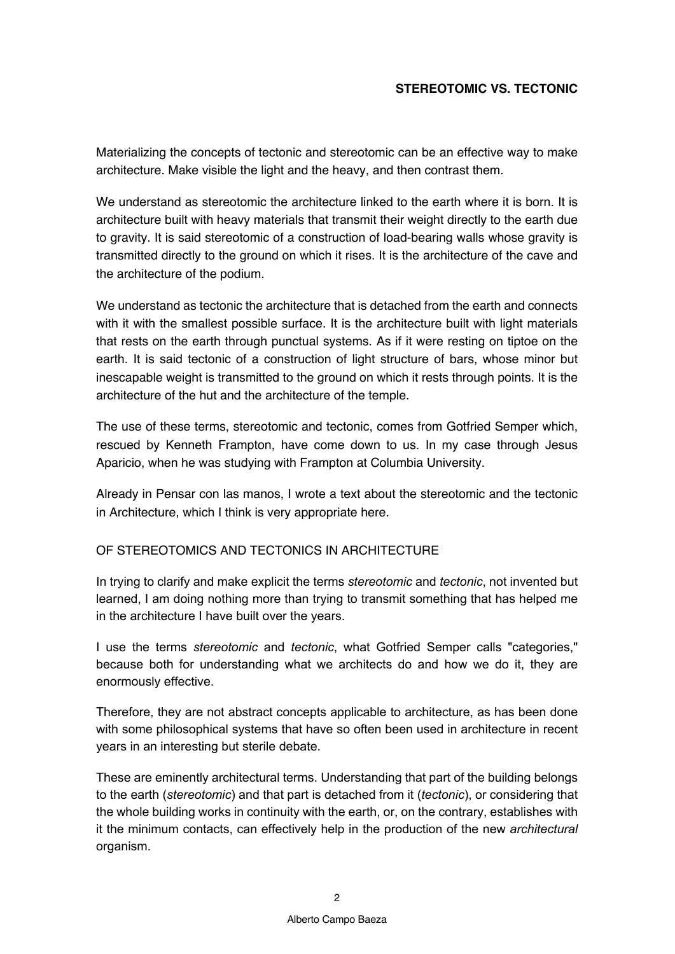## **STEREOTOMIC VS. TECTONIC**

Materializing the concepts of tectonic and stereotomic can be an effective way to make architecture. Make visible the light and the heavy, and then contrast them.

We understand as stereotomic the architecture linked to the earth where it is born. It is architecture built with heavy materials that transmit their weight directly to the earth due to gravity. It is said stereotomic of a construction of load-bearing walls whose gravity is transmitted directly to the ground on which it rises. It is the architecture of the cave and the architecture of the podium.

We understand as tectonic the architecture that is detached from the earth and connects with it with the smallest possible surface. It is the architecture built with light materials that rests on the earth through punctual systems. As if it were resting on tiptoe on the earth. It is said tectonic of a construction of light structure of bars, whose minor but inescapable weight is transmitted to the ground on which it rests through points. It is the architecture of the hut and the architecture of the temple.

The use of these terms, stereotomic and tectonic, comes from Gotfried Semper which, rescued by Kenneth Frampton, have come down to us. In my case through Jesus Aparicio, when he was studying with Frampton at Columbia University.

Already in Pensar con las manos, I wrote a text about the stereotomic and the tectonic in Architecture, which I think is very appropriate here.

#### OF STEREOTOMICS AND TECTONICS IN ARCHITECTURE

In trying to clarify and make explicit the terms *stereotomic* and *tectonic*, not invented but learned, I am doing nothing more than trying to transmit something that has helped me in the architecture I have built over the years.

I use the terms *stereotomic* and *tectonic*, what Gotfried Semper calls "categories," because both for understanding what we architects do and how we do it, they are enormously effective.

Therefore, they are not abstract concepts applicable to architecture, as has been done with some philosophical systems that have so often been used in architecture in recent years in an interesting but sterile debate.

These are eminently architectural terms. Understanding that part of the building belongs to the earth (*stereotomic*) and that part is detached from it (*tectonic*), or considering that the whole building works in continuity with the earth, or, on the contrary, establishes with it the minimum contacts, can effectively help in the production of the new *architectural* organism.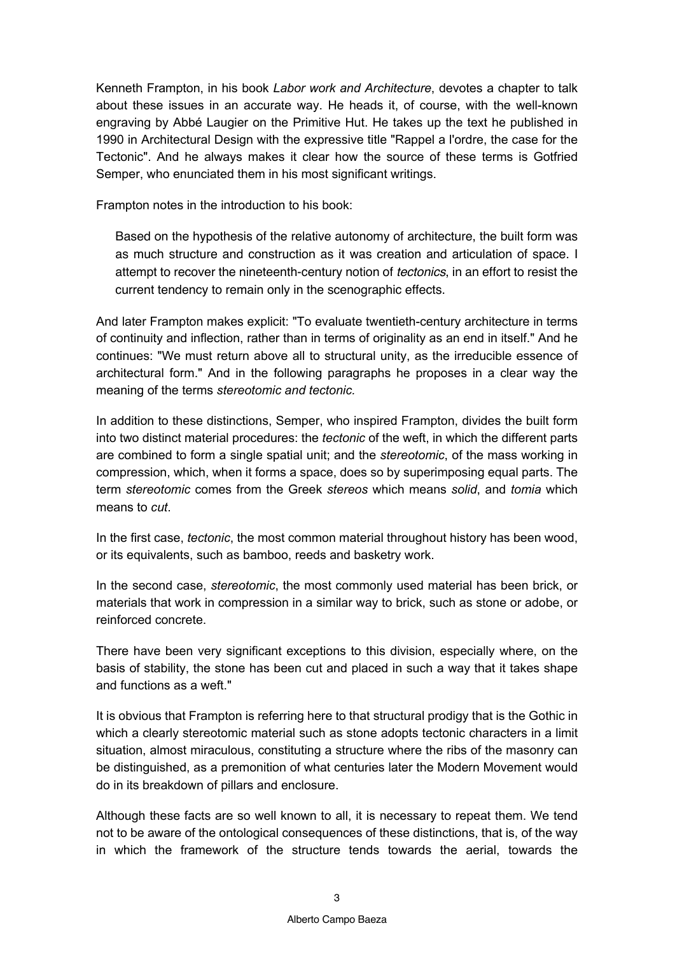Kenneth Frampton, in his book *Labor work and Architecture*, devotes a chapter to talk about these issues in an accurate way. He heads it, of course, with the well-known engraving by Abbé Laugier on the Primitive Hut. He takes up the text he published in 1990 in Architectural Design with the expressive title "Rappel a l'ordre, the case for the Tectonic". And he always makes it clear how the source of these terms is Gotfried Semper, who enunciated them in his most significant writings.

Frampton notes in the introduction to his book:

Based on the hypothesis of the relative autonomy of architecture, the built form was as much structure and construction as it was creation and articulation of space. I attempt to recover the nineteenth-century notion of *tectonics*, in an effort to resist the current tendency to remain only in the scenographic effects.

And later Frampton makes explicit: "To evaluate twentieth-century architecture in terms of continuity and inflection, rather than in terms of originality as an end in itself." And he continues: "We must return above all to structural unity, as the irreducible essence of architectural form." And in the following paragraphs he proposes in a clear way the meaning of the terms *stereotomic and tectonic.*

In addition to these distinctions, Semper, who inspired Frampton, divides the built form into two distinct material procedures: the *tectonic* of the weft, in which the different parts are combined to form a single spatial unit; and the *stereotomic*, of the mass working in compression, which, when it forms a space, does so by superimposing equal parts. The term *stereotomic* comes from the Greek *stereos* which means *solid*, and *tomia* which means to *cut*.

In the first case, *tectonic*, the most common material throughout history has been wood, or its equivalents, such as bamboo, reeds and basketry work.

In the second case, *stereotomic*, the most commonly used material has been brick, or materials that work in compression in a similar way to brick, such as stone or adobe, or reinforced concrete.

There have been very significant exceptions to this division, especially where, on the basis of stability, the stone has been cut and placed in such a way that it takes shape and functions as a weft."

It is obvious that Frampton is referring here to that structural prodigy that is the Gothic in which a clearly stereotomic material such as stone adopts tectonic characters in a limit situation, almost miraculous, constituting a structure where the ribs of the masonry can be distinguished, as a premonition of what centuries later the Modern Movement would do in its breakdown of pillars and enclosure.

Although these facts are so well known to all, it is necessary to repeat them. We tend not to be aware of the ontological consequences of these distinctions, that is, of the way in which the framework of the structure tends towards the aerial, towards the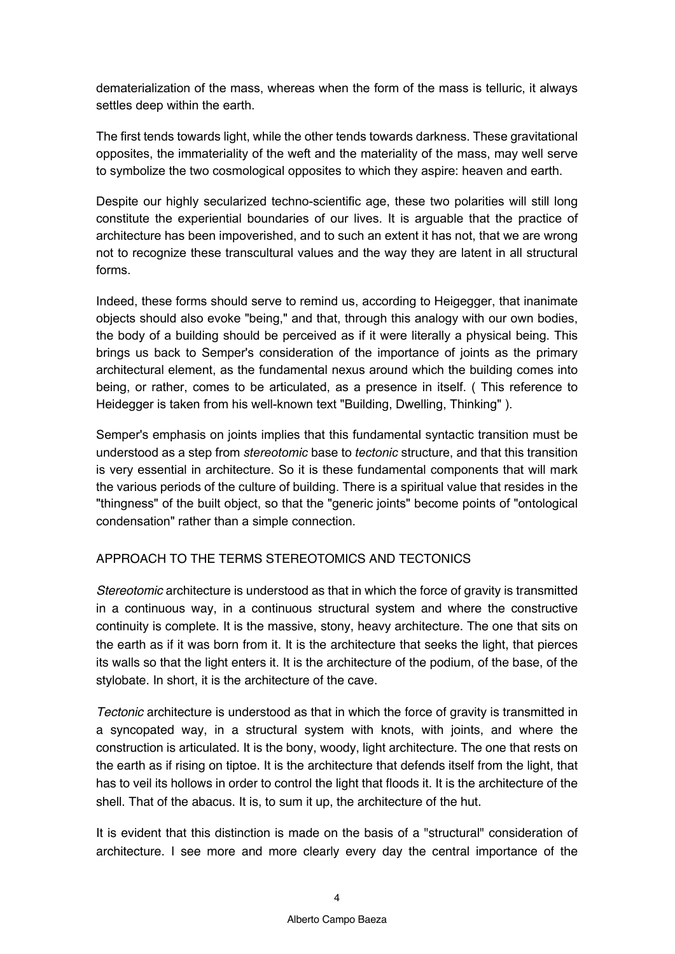dematerialization of the mass, whereas when the form of the mass is telluric, it always settles deep within the earth.

The first tends towards light, while the other tends towards darkness. These gravitational opposites, the immateriality of the weft and the materiality of the mass, may well serve to symbolize the two cosmological opposites to which they aspire: heaven and earth.

Despite our highly secularized techno-scientific age, these two polarities will still long constitute the experiential boundaries of our lives. It is arguable that the practice of architecture has been impoverished, and to such an extent it has not, that we are wrong not to recognize these transcultural values and the way they are latent in all structural forms.

Indeed, these forms should serve to remind us, according to Heigegger, that inanimate objects should also evoke "being," and that, through this analogy with our own bodies, the body of a building should be perceived as if it were literally a physical being. This brings us back to Semper's consideration of the importance of joints as the primary architectural element, as the fundamental nexus around which the building comes into being, or rather, comes to be articulated, as a presence in itself. ( This reference to Heidegger is taken from his well-known text "Building, Dwelling, Thinking" ).

Semper's emphasis on joints implies that this fundamental syntactic transition must be understood as a step from *stereotomic* base to *tectonic* structure, and that this transition is very essential in architecture. So it is these fundamental components that will mark the various periods of the culture of building. There is a spiritual value that resides in the "thingness" of the built object, so that the "generic joints" become points of "ontological condensation" rather than a simple connection.

## APPROACH TO THE TERMS STEREOTOMICS AND TECTONICS

*Stereotomic* architecture is understood as that in which the force of gravity is transmitted in a continuous way, in a continuous structural system and where the constructive continuity is complete. It is the massive, stony, heavy architecture. The one that sits on the earth as if it was born from it. It is the architecture that seeks the light, that pierces its walls so that the light enters it. It is the architecture of the podium, of the base, of the stylobate. In short, it is the architecture of the cave.

*Tectonic* architecture is understood as that in which the force of gravity is transmitted in a syncopated way, in a structural system with knots, with joints, and where the construction is articulated. It is the bony, woody, light architecture. The one that rests on the earth as if rising on tiptoe. It is the architecture that defends itself from the light, that has to veil its hollows in order to control the light that floods it. It is the architecture of the shell. That of the abacus. It is, to sum it up, the architecture of the hut.

It is evident that this distinction is made on the basis of a "structural" consideration of architecture. I see more and more clearly every day the central importance of the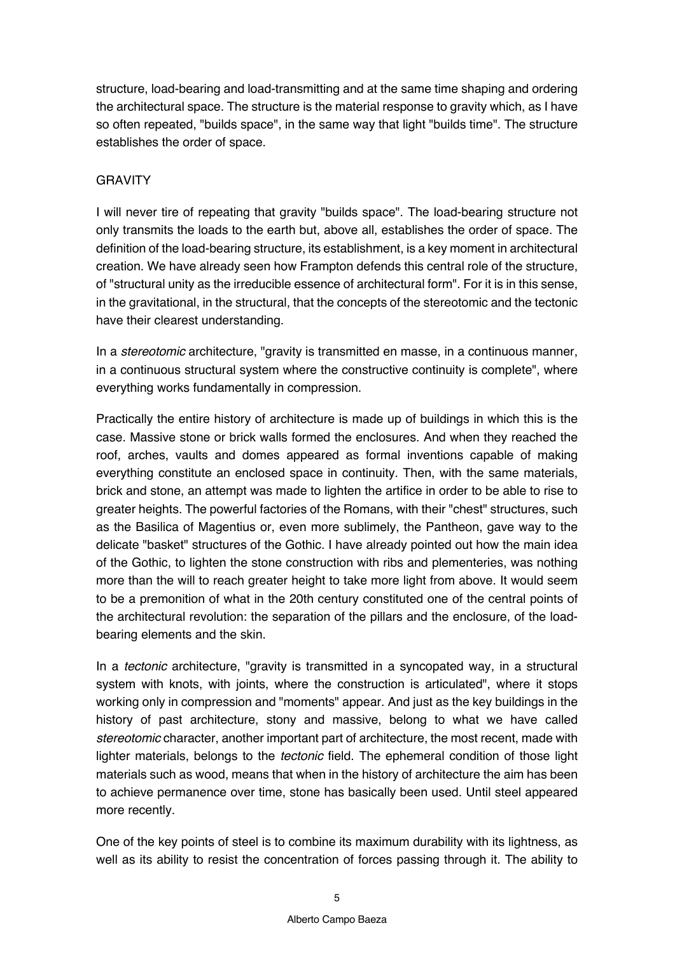structure, load-bearing and load-transmitting and at the same time shaping and ordering the architectural space. The structure is the material response to gravity which, as I have so often repeated, "builds space", in the same way that light "builds time". The structure establishes the order of space.

## GRAVITY

I will never tire of repeating that gravity "builds space". The load-bearing structure not only transmits the loads to the earth but, above all, establishes the order of space. The definition of the load-bearing structure, its establishment, is a key moment in architectural creation. We have already seen how Frampton defends this central role of the structure, of "structural unity as the irreducible essence of architectural form". For it is in this sense, in the gravitational, in the structural, that the concepts of the stereotomic and the tectonic have their clearest understanding.

In a *stereotomic* architecture, "gravity is transmitted en masse, in a continuous manner, in a continuous structural system where the constructive continuity is complete", where everything works fundamentally in compression.

Practically the entire history of architecture is made up of buildings in which this is the case. Massive stone or brick walls formed the enclosures. And when they reached the roof, arches, vaults and domes appeared as formal inventions capable of making everything constitute an enclosed space in continuity. Then, with the same materials, brick and stone, an attempt was made to lighten the artifice in order to be able to rise to greater heights. The powerful factories of the Romans, with their "chest" structures, such as the Basilica of Magentius or, even more sublimely, the Pantheon, gave way to the delicate "basket" structures of the Gothic. I have already pointed out how the main idea of the Gothic, to lighten the stone construction with ribs and plementeries, was nothing more than the will to reach greater height to take more light from above. It would seem to be a premonition of what in the 20th century constituted one of the central points of the architectural revolution: the separation of the pillars and the enclosure, of the loadbearing elements and the skin.

In a *tectonic* architecture, "gravity is transmitted in a syncopated way, in a structural system with knots, with joints, where the construction is articulated", where it stops working only in compression and "moments" appear. And just as the key buildings in the history of past architecture, stony and massive, belong to what we have called *stereotomic* character, another important part of architecture, the most recent, made with lighter materials, belongs to the *tectonic* field. The ephemeral condition of those light materials such as wood, means that when in the history of architecture the aim has been to achieve permanence over time, stone has basically been used. Until steel appeared more recently.

One of the key points of steel is to combine its maximum durability with its lightness, as well as its ability to resist the concentration of forces passing through it. The ability to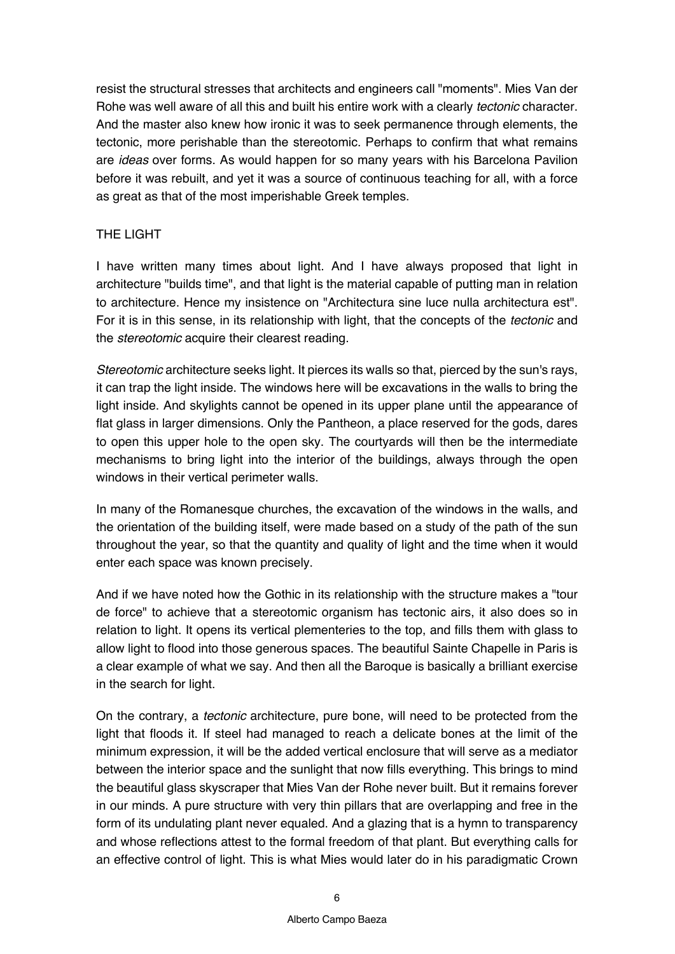resist the structural stresses that architects and engineers call "moments". Mies Van der Rohe was well aware of all this and built his entire work with a clearly *tectonic* character. And the master also knew how ironic it was to seek permanence through elements, the tectonic, more perishable than the stereotomic. Perhaps to confirm that what remains are *ideas* over forms. As would happen for so many years with his Barcelona Pavilion before it was rebuilt, and yet it was a source of continuous teaching for all, with a force as great as that of the most imperishable Greek temples.

## THE LIGHT

I have written many times about light. And I have always proposed that light in architecture "builds time", and that light is the material capable of putting man in relation to architecture. Hence my insistence on "Architectura sine luce nulla architectura est". For it is in this sense, in its relationship with light, that the concepts of the *tectonic* and the *stereotomic* acquire their clearest reading.

*Stereotomic* architecture seeks light. It pierces its walls so that, pierced by the sun's rays, it can trap the light inside. The windows here will be excavations in the walls to bring the light inside. And skylights cannot be opened in its upper plane until the appearance of flat glass in larger dimensions. Only the Pantheon, a place reserved for the gods, dares to open this upper hole to the open sky. The courtyards will then be the intermediate mechanisms to bring light into the interior of the buildings, always through the open windows in their vertical perimeter walls.

In many of the Romanesque churches, the excavation of the windows in the walls, and the orientation of the building itself, were made based on a study of the path of the sun throughout the year, so that the quantity and quality of light and the time when it would enter each space was known precisely.

And if we have noted how the Gothic in its relationship with the structure makes a "tour de force" to achieve that a stereotomic organism has tectonic airs, it also does so in relation to light. It opens its vertical plementeries to the top, and fills them with glass to allow light to flood into those generous spaces. The beautiful Sainte Chapelle in Paris is a clear example of what we say. And then all the Baroque is basically a brilliant exercise in the search for light.

On the contrary, a *tectonic* architecture, pure bone, will need to be protected from the light that floods it. If steel had managed to reach a delicate bones at the limit of the minimum expression, it will be the added vertical enclosure that will serve as a mediator between the interior space and the sunlight that now fills everything. This brings to mind the beautiful glass skyscraper that Mies Van der Rohe never built. But it remains forever in our minds. A pure structure with very thin pillars that are overlapping and free in the form of its undulating plant never equaled. And a glazing that is a hymn to transparency and whose reflections attest to the formal freedom of that plant. But everything calls for an effective control of light. This is what Mies would later do in his paradigmatic Crown